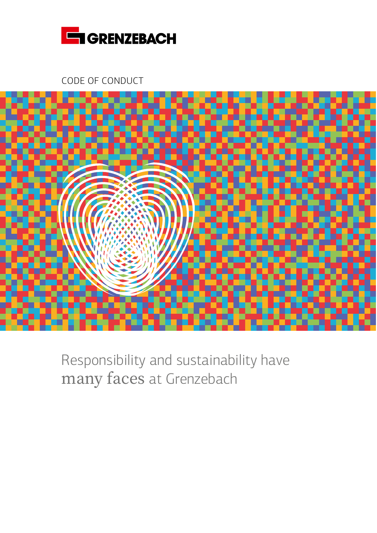

CODE OF CONDUCT



Responsibility and sustainability have many faces at Grenzebach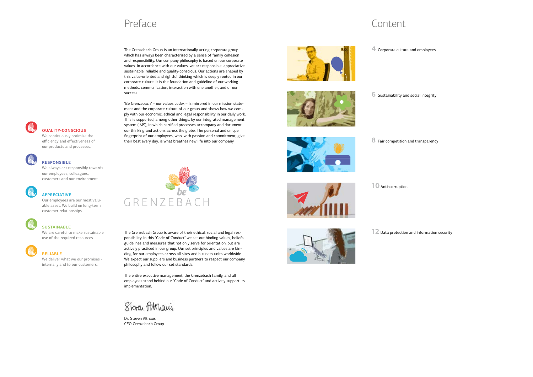## Preface Content

The Grenzebach Group is an internationally acting corporate group which has always been characterized by a sense of family cohesion and responsibility. Our company philosophy is based on our corporate values. In accordance with our values, we act responsible, appreciative, sustainable, reliable and quality-conscious. Our actions are shaped by this value-oriented and rightful thinking which is deeply rooted in our corporate culture. It is the foundation and guideline of our working methods, communication, interaction with one another, and of our success.

"Be Grenzebach" – our values codex – is mirrored in our mission statement and the corporate culture of our group and shows how we comply with our economic, ethical and legal responsibility in our daily work. This is supported, among other things, by our integrated management system (IMS), in which certified processes accompany and document our thinking and actions across the globe. The personal and unique fingerprint of our employees, who, with passion and commitment, give their best every day, is what breathes new life into our company.







The Grenzebach Group is aware of their ethical, social and legal responsibility. In this "Code of Conduct" we set out binding values, beliefs, guidelines and measures that not only serve for orientation, but are actively practiced in our group. Our set principles and values are binding for our employees across all sites and business units worldwide. We expect our suppliers and business partners to respect our company philosophy and follow our set standards.

The entire executive management, the Grenzebach family, and all employees stand behind our "Code of Conduct" and actively support its implementation.

Steven Atthani

Dr. Steven Althaus CEO Grenzebach Group



**4** Corporate culture and employees

**6** Sustainability and social integrity



**10** Anti-corruption



**12** Data protection and information security

### **QUALITY-CONSCIOUS**

We continuously optimize the efficiency and effectiveness of our products and processes.



#### **RESPONSIBLE**

We always act responsibly towards our employees, colleagues, customers and our environment.



### **APPRECIATIVE**

Our employees are our most valuable asset. We build on long-term customer relationships.



### **SUSTAINABLE**

We are careful to make sustainable use of the required resources.

### **RELIABLE**

We deliver what we our promises internally and to our customers.

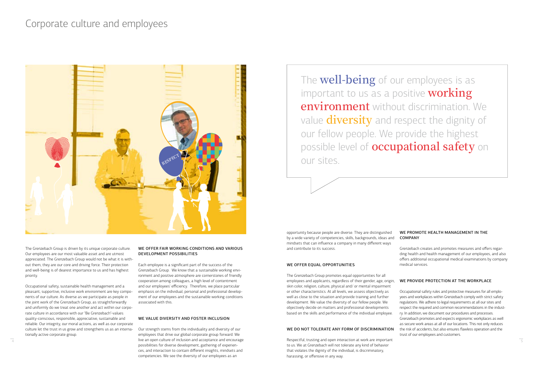The **well-being** of our employees is as important to us as a positive **working environment** without discrimination. We value **diversity** and respect the dignity of our fellow people. We provide the highest possible level of **occupational safety** on our sites.

The Grenzebach Group is driven by its unique corporate culture. Our employees are our most valuable asset and are utmost appreciated. The Grenzebach Group would not be what it is without them, they are our core and driving force. Their protection and well-being is of dearest importance to us and has highest priority.

Occupational safety, sustainable health management and a pleasant, supportive, inclusive work environment are key components of our culture. As diverse as we participate as people in the joint work of the Grenzebach Group, as straightforwardly and uniformly do we treat one another and act within our corporate culture in accordance with our "Be Grenzebach"-values: quality-conscious, responsible, appreciative, sustainable and reliable. Our integrity, our moral actions, as well as our corporate culture let the trust in us grow and strengthens us as an internationally active corporate group.

#### WE OFFER FAIR WORKING CONDITIONS AND VARIOUS DEVELOPMENT POSSIBILITIES

Each employee is a significant part of the success of the Grenzebach Group. We know that a sustainable working environment and positive atmosphere are cornerstones of friendly cooperation among colleagues, a high level of contentment and our employees' efficiency. Therefore, we place particular emphasis on the individual, personal and professional development of our employees and the sustainable working conditions associated with this.

live an open culture of inclusion and acceptance and encourage  $\hskip1cm$  Respectful, trusting and open interaction at work are important  $\hskip1cm$ to us. We at Grenzebach will not tolerate any kind of behavior that violates the dignity of the individual, is discriminatory, harassing, or offensive in any way.

#### WE VALUE DIVERSITY AND FOSTER INCLUSION

Our strength stems from the individuality and diversity of our employees that drive our global corporate group forward. We live an open culture of inclusion and acceptance and encourage possibilities for diverse development, gathering of experiences, and interaction to contain different insights, mindsets and competencies. We see the diversity of our employees as an

# Corporate culture and employees

opportunity because people are diverse. They are distinguished by a wide variety of competencies, skills, backgrounds, ideas and mindsets that can influence a company in many different ways and contribute to its success.

#### WE OFFER EQUAL OPPORTUNITIES

The Grenzebach Group promotes equal opportunities for all employees and applicants, regardless of their gender, age, origin, skin color, religion, culture, physical and/ or mental impairment or other characteristics. At all levels, we assess objectively as well as close to the situation and provide training and further development. We value the diversity of our fellow people. We objectively decide on matters and professional developments based on the skills and performance of the individual employee.

#### WE DO NOT TOLERATE ANY FORM OF DISCRIMINATION

### WE PROMOTE HEALTH MANAGEMENT IN THE COMPANY

Grenzebach creates and promotes measures and offers regarding health and health management of our employees, and also offers additional occupational medical examinations by company medical services.

### WE PROVIDE PROTECTION AT THE WORKPLACE

Occupational safety rules and protective measures for all employees and workplaces within Grenzebach comply with strict safety regulations. We adhere to legal requirements at all our sites and respect the required and common recommendations in the industry. In addition, we document our procedures and processes. Grenzebach promotes and expects ergonomic workplaces as well as secure work areas at all of our locations. This not only reduces the risk of accidents, but also ensures flawless operation and the trust of our employees and customers.

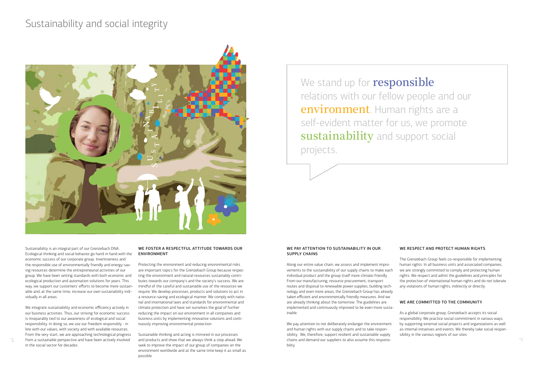We stand up for **responsible** relations with our fellow people and our **environment**. Human rights are a self-evident matter for us, we promote **sustainability** and support social projects.

Sustainability is an integral part of our Grenzebach DNA. Ecological thinking and social behavior go hand in hand with the economic success of our corporate group. Inventiveness and the responsible use of environmentally friendly and energy-saving resources determine the entrepreneurial activities of our group. We have been setting standards with both economic and ecological production and automation solutions for years. This way, we support our customers' efforts to become more sustainable and, at the same time, increase our own sustainability individually in all areas.

We integrate sustainability and economic efficiency actively in our business activities. Thus, our striving for economic success is inseparably tied to our awareness of ecological and social responsibility. In doing so, we use our freedom responsibly - in line with our values, with society and with available resources. From the very start, we are approaching technological progress in the social sector for decades.

 $\overline{6}$  from a sustainable perspective and have been actively involved and products and show that we always think a step ahead: We chains and demand our suppliers to also assume this responsi-Sustainable thinking and acting is mirrored in our processes and products and show that we always think a step ahead: We seek to improve the impact of our group of companies on the environment worldwide and at the same time keep it as small as possible.

#### WE FOSTER A RESPECTFUL ATTITUDE TOWARDS OUR ENVIRONMENT

Protecting the environment and reducing environmental risks are important topics for the Grenzebach Group because respecting the environment and natural resources sustainably contributes towards our company's and the society's success. We are mindful of the careful and sustainable use of the resources we require. We develop processes, products and solutions to act in a resource-saving and ecological manner. We comply with national and international laws and standards for environmental and climate protection and have set ourselves the goal of further reducing the impact on our environment in all companies and business units by implementing innovative solutions and continuously improving environmental protection.

#### WE PAY ATTENTION TO SUSTAINABILITY IN OUR SUPPLY CHAINS

Along our entire value chain, we assess and implement improvements to the sustainability of our supply chains to make each individual product and the group itself more climate-friendly. From our manufacturing, resource procurement, transport routes and disposal to renewable power supplies, building technology and even more areas, the Grenzebach Group has already taken efficient and environmentally friendly measures. And we are already thinking about the tomorrow: The guidelines are implemented and continuously improved to be even more sustainable.

We pay attention to not deliberately endanger the environment and human rights with our supply chains and to take responsibility. We, therefore, support resilient and sustainable supply chains and demand our suppliers to also assume this responsibility.

### WE RESPECT AND PROTECT HUMAN RIGHTS

The Grenzebach Group feels co-responsible for implementing human rights. In all business units and associated companies, we are strongly committed to comply and protecting human rights. We respect and admit the guidelines and principles for the protection of international human rights and do not tolerate any violations of human rights, indirectly or directly.

### WE ARE COMMITTED TO THE COMMUNITY

As a global corporate group, Grenzebach accepts its social responsibility. We practice social commitment in various ways, by supporting external social projects and organizations as well as internal initiatives and events. We thereby take social responsibility in the various regions of our sites.

# Sustainability and social integrity

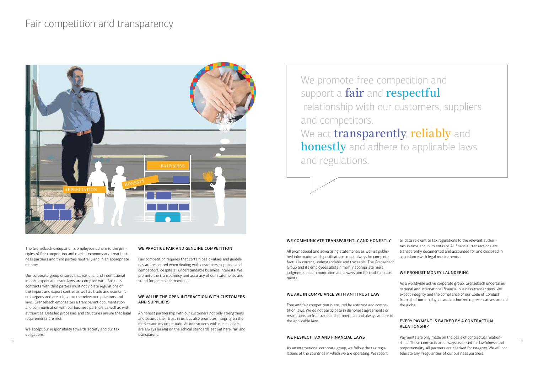We promote free competition and support a **fair** and **respectful** relationship with our customers, suppliers and competitors. We act **transparently**, **reliably** and **honestly** and adhere to applicable laws and regulations.

The Grenzebach Group and its employees adhere to the principles of fair competition and market economy and treat business partners and third parties neutrally and in an appropriate manner.

We accept our responsibility towards society and our tax obligations.

Our corporate group ensures that national and international import, export and trade laws are complied with. Business contracts with third parties must not violate regulations of the import and export control as well as trade and economic embargoes and are subject to the relevant regulations and laws. Grenzebach emphasizes a transparent documentation and communication with our business partners as well as with authorities. Detailed processes and structures ensure that legal requirements are met.

#### WE PRACTICE FAIR AND GENUINE COMPETITION

Fair competition requires that certain basic values and guidelines are respected when dealing with customers, suppliers and competitors, despite all understandable business interests. We promote the transparency and accuracy of our statements and stand for genuine competition.

#### WE VALUE THE OPEN INTERACTION WITH CUSTOMERS AND SUPPLIERS

An honest partnership with our customers not only strengthens and secures their trust in us, but also promotes integrity on the market and in competition. All interactions with our suppliers are always basing on the ethical standards set out here, fair and transparent.

## Fair competition and transparency

### WE COMMUNICATE TRANSPARENTLY AND HONESTLY

All promotional and advertising statements, as well as published information and specifications, must always be complete, factually correct, understandable and traceable. The Grenzebach Group and its employees abstain from inappropriate moral judgments in communication and always aim for truthful statements.

### WE ARE IN COMPLIANCE WITH ANTITRUST LAW

Free and fair competition is ensured by antitrust and competition laws. We do not participate in dishonest agreements or restrictions on free trade and competition and always adhere to the applicable laws.

#### WE RESPECT TAX AND FINANCIAL LAWS

As an international corporate group, we follow the tax regulations of the countries in which we are operating. We report

all data relevant to tax regulations to the relevant authorities in time and in its entirety. All financial transactions are transparently documented and accounted for and disclosed in accordance with legal requirements.

### WE PROHIBIT MONEY LAUNDERING

As a worldwide active corporate group, Grenzebach undertakes national and international financial business transactions. We expect integrity and the compliance of our Code of Conduct from all of our employees and authorized representatives around the globe.

### EVERY PAYMENT IS BACKED BY A CONTRACTUAL RELATIONSHIP

Payments are only made on the basis of contractual relation- $^8$  ships. These contracts are always assessed for lawfulness and  $^9$ proportionality. All partners are checked for integrity. We will not tolerate any irregularities of our business partners.

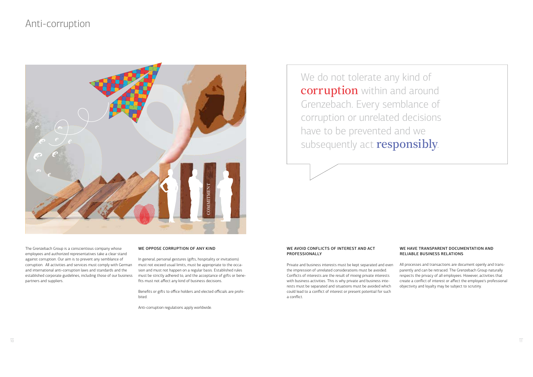## Anti-corruption

We do not tolerate any kind of **corruption** within and around Grenzebach. Every semblance of corruption or unrelated decisions have to be prevented and we subsequently act **responsibly**.

The Grenzebach Group is a conscientious company whose employees and authorized representatives take a clear stand against corruption. Our aim is to prevent any semblance of corruption. All activities and services must comply with German and international anti-corruption laws and standards and the established corporate guidelines, including those of our business partners and suppliers.

#### WE OPPOSE CORRUPTION OF ANY KIND

In general, personal gestures (gifts, hospitality or invitations) must not exceed usual limits, must be appropriate to the occasion and must not happen on a regular basis. Established rules must be strictly adhered to, and the acceptance of gifts or benefits must not affect any kind of business decisions.

Benefits or gifts to office holders and elected officials are prohibited.

Anti-corruption regulations apply worldwide.

#### WE AVOID CONFLICTS OF INTEREST AND ACT PROFESSIONALLY

Private and business interests must be kept separated and even the impression of unrelated considerations must be avoided. Conflicts of interests are the result of mixing private interests with business activities. This is why private and business interests must be separated and situations must be avoided which could lead to a conflict of interest or present potential for such a conflict.

#### WE HAVE TRANSPARENT DOCUMENTATION AND RELIABLE BUSINESS RELATIONS

All processes and transactions are document openly and transparently and can be retraced. The Grenzebach Group naturally respects the privacy of all employees. However, activities that create a conflict of interest or affect the employee's professional objectivity and loyalty may be subject to scrutiny.

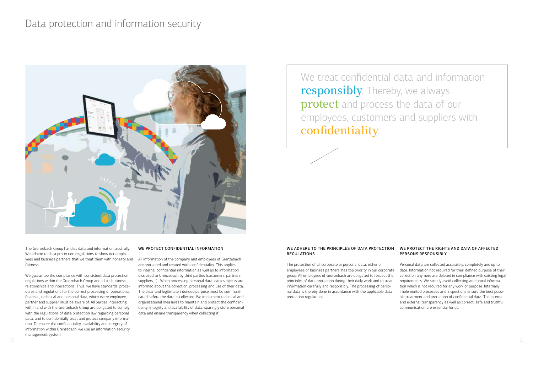## Data protection and information security

# We treat confidential data and information **responsibly**. Thereby, we always **protect** and process the data of our employees, customers and suppliers with **confidentiality**.

The Grenzebach Group handles data and information trustfully. We adhere to data protection regulations to show our employees and business partners that we treat them with honesty and fairness.

We guarantee the compliance with consistent data protection regulations within the Grenzebach Group and all its business relationships and interactions. Thus, we have standards, procedures and regulations for the correct processing of operational, financial, technical and personal data, which every employee, partner and supplier must be aware of. All parties interacting within and with the Grenzebach Group are obligated to comply with the regulations of data protection law regarding personal data, and to confidentially treat and protect company information. To ensure the confidentiality, availability and integrity of information within Grenzebach, we use an information security management system.

#### WE PROTECT CONFIDENTIAL INFORMATION

All information of the company and employees of Grenzebach are protected and treated with confidentiality. This applies to internal confidential information as well as to information disclosed to Grenzebach by third parties (customers, partners, suppliers,...). When processing personal data, data subjects are informed about the collection, processing and use of their data. The clear and legitimate intended purpose must be communicated before the data is collected. We implement technical and organizational measures to maintain and protect the confidentiality, integrity and availability of data, sparingly store personal data and ensure transparency when collecting it.

The protection of all corporate or personal data, either of employees or business partners, has top priority in our corporate group. All employees of Grenzebach are obligated to respect the principles of data protection during their daily work and to treat information carefully and responsibly. The processing of personal data is thereby done in accordance with the applicable data protection regulations.

#### WE ADHERE TO THE PRINCIPLES OF DATA PROTECTION WE PROTECT THE RIGHTS AND DATA OF AFFECTED REGULATIONS PERSONS RESPONSIBLY

Personal data are collected accurately, completely and up to date. Information not required for their defined purpose of their collection anymore are deleted in compliance with existing legal requirements. We strictly avoid collecting additional information which is not required for any work or purpose. Internally implemented processes and inspections ensure the best possible treatment and protection of confidential data. The internal and external transparency as well as correct, safe and truthful communication are essential for us.

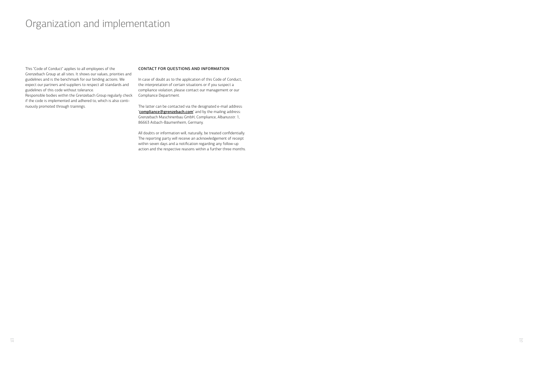## Organization and implementation

This "Code of Conduct" applies to all employees of the Grenzebach Group at all sites. It shows our values, priorities and guidelines and is the benchmark for our binding actions. We expect our partners and suppliers to respect all standards and guidelines of this code without tolerance.

Responsible bodies within the Grenzebach Group regularly check if the code is implemented and adhered to, which is also continuously promoted through trainings.

#### CONTACT FOR QUESTIONS AND INFORMATION

In case of doubt as to the application of this Code of Conduct, the interpretation of certain situations or if you suspect a compliance violation, please contact our management or our Compliance Department.

The latter can be contacted via the designated e-mail address: "[compliance@grenzebach.com](mailto:compliance%40grenzebach.com?subject=)" and by the mailing address: Grenzebach Maschinenbau GmbH, Compliance, Albanusstr. 1, 86663 Asbach-Bäumenheim, Germany.

All doubts or information will, naturally, be treated confidentially. The reporting party will receive an acknowledgement of receipt within seven days and a notification regarding any follow-up action and the respective reasons within a further three months.